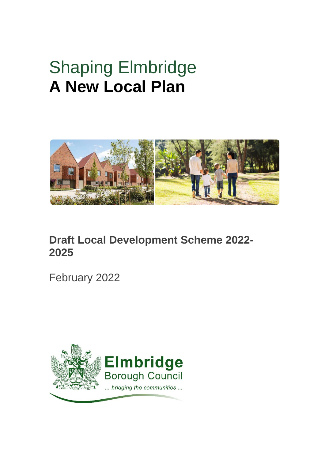# Shaping Elmbridge **A New Local Plan**



# **Draft Local Development Scheme 2022- 2025**

February 2022

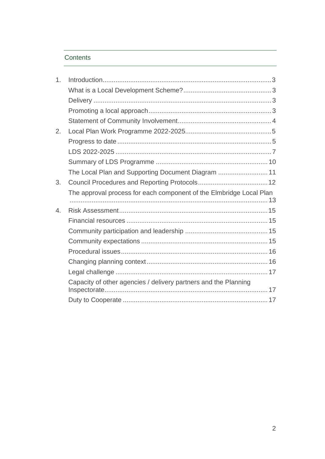### Contents

| 1. |                                                                     |  |
|----|---------------------------------------------------------------------|--|
|    |                                                                     |  |
|    |                                                                     |  |
|    |                                                                     |  |
|    |                                                                     |  |
| 2. |                                                                     |  |
|    |                                                                     |  |
|    |                                                                     |  |
|    |                                                                     |  |
|    | The Local Plan and Supporting Document Diagram  11                  |  |
| 3. |                                                                     |  |
|    | The approval process for each component of the Elmbridge Local Plan |  |
|    |                                                                     |  |
| 4. |                                                                     |  |
|    |                                                                     |  |
|    |                                                                     |  |
|    |                                                                     |  |
|    |                                                                     |  |
|    |                                                                     |  |
|    |                                                                     |  |
|    | Capacity of other agencies / delivery partners and the Planning     |  |
|    |                                                                     |  |
|    |                                                                     |  |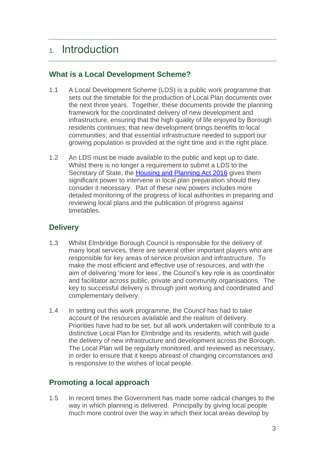# <span id="page-2-0"></span>1. Introduction

## <span id="page-2-1"></span>**What is a Local Development Scheme?**

- 1.1 A Local Development Scheme (LDS) is a public work programme that sets out the timetable for the production of Local Plan documents over the next three years. Together, these documents provide the planning framework for the coordinated delivery of new development and infrastructure, ensuring that the high quality of life enjoyed by Borough residents continues; that new development brings benefits to local communities; and that essential infrastructure needed to support our growing population is provided at the right time and in the right place.
- 1.2 An LDS must be made available to the public and kept up to date. Whilst there is no longer a requirement to submit a LDS to the Secretary of State, the [Housing and Planning Act 2016](http://www.legislation.gov.uk/ukpga/2016/22/contents/enacted) gives them significant power to intervene in local plan preparation should they consider it necessary. Part of these new powers includes more detailed monitoring of the progress of local authorities in preparing and reviewing local plans and the publication of progress against timetables.

# <span id="page-2-2"></span>**Delivery**

- 1.3 Whilst Elmbridge Borough Council is responsible for the delivery of many local services, there are several other important players who are responsible for key areas of service provision and infrastructure. To make the most efficient and effective use of resources, and with the aim of delivering 'more for less', the Council's key role is as coordinator and facilitator across public, private and community organisations. The key to successful delivery is through joint working and coordinated and complementary delivery.
- 1.4 In setting out this work programme, the Council has had to take account of the resources available and the realism of delivery. Priorities have had to be set, but all work undertaken will contribute to a distinctive Local Plan for Elmbridge and its residents, which will guide the delivery of new infrastructure and development across the Borough. The Local Plan will be regularly monitored, and reviewed as necessary, in order to ensure that it keeps abreast of changing circumstances and is responsive to the wishes of local people.

# <span id="page-2-3"></span>**Promoting a local approach**

1.5 In recent times the Government has made some radical changes to the way in which planning is delivered. Principally by giving local people much more control over the way in which their local areas develop by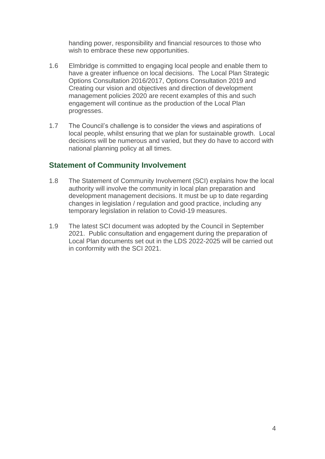handing power, responsibility and financial resources to those who wish to embrace these new opportunities.

- 1.6 Elmbridge is committed to engaging local people and enable them to have a greater influence on local decisions. The Local Plan Strategic Options Consultation 2016/2017, Options Consultation 2019 and Creating our vision and objectives and direction of development management policies 2020 are recent examples of this and such engagement will continue as the production of the Local Plan progresses.
- 1.7 The Council's challenge is to consider the views and aspirations of local people, whilst ensuring that we plan for sustainable growth. Local decisions will be numerous and varied, but they do have to accord with national planning policy at all times.

### <span id="page-3-0"></span>**Statement of Community Involvement**

- 1.8 The Statement of Community Involvement (SCI) explains how the local authority will involve the community in local plan preparation and development management decisions. It must be up to date regarding changes in legislation / regulation and good practice, including any temporary legislation in relation to Covid-19 measures.
- 1.9 The latest SCI document was adopted by the Council in September 2021. Public consultation and engagement during the preparation of Local Plan documents set out in the LDS 2022-2025 will be carried out in conformity with the SCI 2021.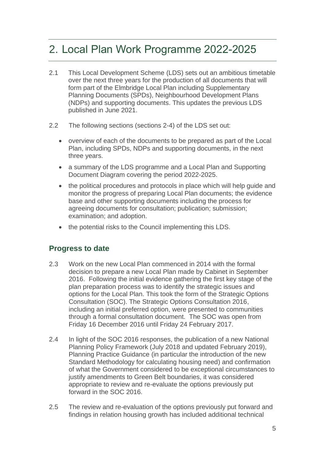# <span id="page-4-0"></span>2. Local Plan Work Programme 2022-2025

- 2.1 This Local Development Scheme (LDS) sets out an ambitious timetable over the next three years for the production of all documents that will form part of the Elmbridge Local Plan including Supplementary Planning Documents (SPDs), Neighbourhood Development Plans (NDPs) and supporting documents. This updates the previous LDS published in June 2021.
- 2.2 The following sections (sections 2-4) of the LDS set out:
	- overview of each of the documents to be prepared as part of the Local Plan, including SPDs, NDPs and supporting documents, in the next three years.
	- a summary of the LDS programme and a Local Plan and Supporting Document Diagram covering the period 2022-2025.
	- the political procedures and protocols in place which will help guide and monitor the progress of preparing Local Plan documents; the evidence base and other supporting documents including the process for agreeing documents for consultation; publication; submission; examination; and adoption.
	- the potential risks to the Council implementing this LDS.

### <span id="page-4-1"></span>**Progress to date**

- 2.3 Work on the new Local Plan commenced in 2014 with the formal decision to prepare a new Local Plan made by Cabinet in September 2016. Following the initial evidence gathering the first key stage of the plan preparation process was to identify the strategic issues and options for the Local Plan. This took the form of the Strategic Options Consultation (SOC). The Strategic Options Consultation 2016, including an initial preferred option, were presented to communities through a formal consultation document. The SOC was open from Friday 16 December 2016 until Friday 24 February 2017.
- 2.4 In light of the SOC 2016 responses, the publication of a new National Planning Policy Framework (July 2018 and updated February 2019), Planning Practice Guidance (in particular the introduction of the new Standard Methodology for calculating housing need) and confirmation of what the Government considered to be exceptional circumstances to justify amendments to Green Belt boundaries, it was considered appropriate to review and re-evaluate the options previously put forward in the SOC 2016.
- 2.5 The review and re-evaluation of the options previously put forward and findings in relation housing growth has included additional technical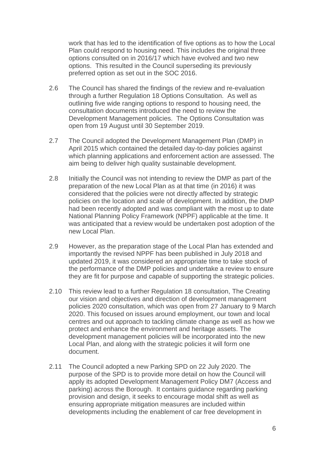work that has led to the identification of five options as to how the Local Plan could respond to housing need. This includes the original three options consulted on in 2016/17 which have evolved and two new options. This resulted in the Council superseding its previously preferred option as set out in the SOC 2016.

- 2.6 The Council has shared the findings of the review and re-evaluation through a further Regulation 18 Options Consultation. As well as outlining five wide ranging options to respond to housing need, the consultation documents introduced the need to review the Development Management policies. The Options Consultation was open from 19 August until 30 September 2019.
- 2.7 The Council adopted the Development Management Plan (DMP) in April 2015 which contained the detailed day-to-day policies against which planning applications and enforcement action are assessed. The aim being to deliver high quality sustainable development.
- 2.8 Initially the Council was not intending to review the DMP as part of the preparation of the new Local Plan as at that time (in 2016) it was considered that the policies were not directly affected by strategic policies on the location and scale of development. In addition, the DMP had been recently adopted and was compliant with the most up to date National Planning Policy Framework (NPPF) applicable at the time. It was anticipated that a review would be undertaken post adoption of the new Local Plan.
- 2.9 However, as the preparation stage of the Local Plan has extended and importantly the revised NPPF has been published in July 2018 and updated 2019, it was considered an appropriate time to take stock of the performance of the DMP policies and undertake a review to ensure they are fit for purpose and capable of supporting the strategic policies.
- 2.10 This review lead to a further Regulation 18 consultation, The Creating our vision and objectives and direction of development management policies 2020 consultation, which was open from 27 January to 9 March 2020. This focused on issues around employment, our town and local centres and out approach to tackling climate change as well as how we protect and enhance the environment and heritage assets. The development management policies will be incorporated into the new Local Plan, and along with the strategic policies it will form one document.
- 2.11 The Council adopted a new Parking SPD on 22 July 2020. The purpose of the SPD is to provide more detail on how the Council will apply its adopted Development Management Policy DM7 (Access and parking) across the Borough. It contains guidance regarding parking provision and design, it seeks to encourage modal shift as well as ensuring appropriate mitigation measures are included within developments including the enablement of car free development in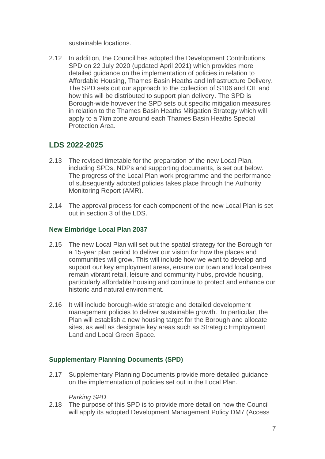sustainable locations.

2.12 In addition, the Council has adopted the Development Contributions SPD on 22 July 2020 (updated April 2021) which provides more detailed guidance on the implementation of policies in relation to Affordable Housing, Thames Basin Heaths and Infrastructure Delivery. The SPD sets out our approach to the collection of S106 and CIL and how this will be distributed to support plan delivery. The SPD is Borough-wide however the SPD sets out specific mitigation measures in relation to the Thames Basin Heaths Mitigation Strategy which will apply to a 7km zone around each Thames Basin Heaths Special Protection Area.

# <span id="page-6-0"></span>**LDS 2022-2025**

- 2.13 The revised timetable for the preparation of the new Local Plan, including SPDs, NDPs and supporting documents, is set out below. The progress of the Local Plan work programme and the performance of subsequently adopted policies takes place through the Authority Monitoring Report (AMR).
- 2.14 The approval process for each component of the new Local Plan is set out in section 3 of the LDS.

### **New Elmbridge Local Plan 2037**

- 2.15 The new Local Plan will set out the spatial strategy for the Borough for a 15-year plan period to deliver our vision for how the places and communities will grow. This will include how we want to develop and support our key employment areas, ensure our town and local centres remain vibrant retail, leisure and community hubs, provide housing, particularly affordable housing and continue to protect and enhance our historic and natural environment.
- 2.16 It will include borough-wide strategic and detailed development management policies to deliver sustainable growth. In particular, the Plan will establish a new housing target for the Borough and allocate sites, as well as designate key areas such as Strategic Employment Land and Local Green Space.

### **Supplementary Planning Documents (SPD)**

2.17 Supplementary Planning Documents provide more detailed guidance on the implementation of policies set out in the Local Plan.

#### *Parking SPD*

2.18 The purpose of this SPD is to provide more detail on how the Council will apply its adopted Development Management Policy DM7 (Access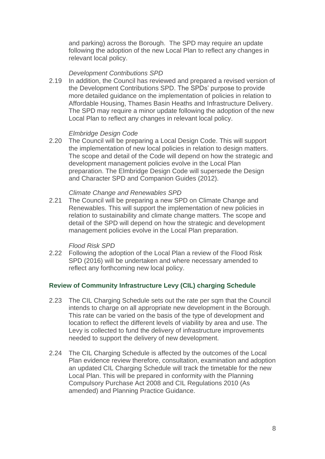and parking) across the Borough. The SPD may require an update following the adoption of the new Local Plan to reflect any changes in relevant local policy.

### *Development Contributions SPD*

2.19 In addition, the Council has reviewed and prepared a revised version of the Development Contributions SPD. The SPDs' purpose to provide more detailed guidance on the implementation of policies in relation to Affordable Housing, Thames Basin Heaths and Infrastructure Delivery. The SPD may require a minor update following the adoption of the new Local Plan to reflect any changes in relevant local policy.

#### *Elmbridge Design Code*

2.20 The Council will be preparing a Local Design Code. This will support the implementation of new local policies in relation to design matters. The scope and detail of the Code will depend on how the strategic and development management policies evolve in the Local Plan preparation. The Elmbridge Design Code will supersede the Design and Character SPD and Companion Guides (2012).

#### *Climate Change and Renewables SPD*

2.21 The Council will be preparing a new SPD on Climate Change and Renewables. This will support the implementation of new policies in relation to sustainability and climate change matters. The scope and detail of the SPD will depend on how the strategic and development management policies evolve in the Local Plan preparation.

#### *Flood Risk SPD*

2.22 Following the adoption of the Local Plan a review of the Flood Risk SPD (2016) will be undertaken and where necessary amended to reflect any forthcoming new local policy.

#### **Review of Community Infrastructure Levy (CIL) charging Schedule**

- 2.23 The CIL Charging Schedule sets out the rate per sqm that the Council intends to charge on all appropriate new development in the Borough. This rate can be varied on the basis of the type of development and location to reflect the different levels of viability by area and use. The Levy is collected to fund the delivery of infrastructure improvements needed to support the delivery of new development.
- 2.24 The CIL Charging Schedule is affected by the outcomes of the Local Plan evidence review therefore, consultation, examination and adoption an updated CIL Charging Schedule will track the timetable for the new Local Plan. This will be prepared in conformity with the Planning Compulsory Purchase Act 2008 and CIL Regulations 2010 (As amended) and Planning Practice Guidance.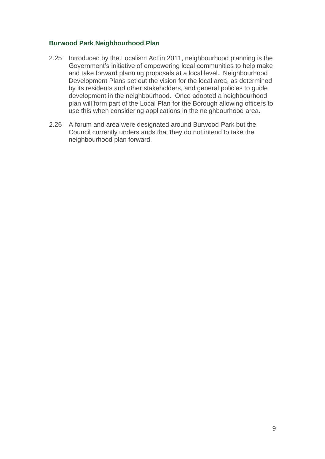#### **Burwood Park Neighbourhood Plan**

- 2.25 Introduced by the Localism Act in 2011, neighbourhood planning is the Government's initiative of empowering local communities to help make and take forward planning proposals at a local level. Neighbourhood Development Plans set out the vision for the local area, as determined by its residents and other stakeholders, and general policies to guide development in the neighbourhood. Once adopted a neighbourhood plan will form part of the Local Plan for the Borough allowing officers to use this when considering applications in the neighbourhood area.
- 2.26 A forum and area were designated around Burwood Park but the Council currently understands that they do not intend to take the neighbourhood plan forward.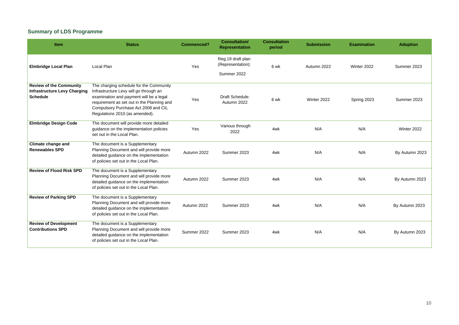# <span id="page-9-0"></span>**Summary of LDS Programme**

| Item                                                                                     | <b>Status</b>                                                                                                                                                                                                                                        | <b>Commenced?</b> | <b>Consultation/</b><br><b>Representation</b>         | <b>Consultation</b><br>period | <b>Submission</b> | <b>Examination</b> | <b>Adoption</b> |
|------------------------------------------------------------------------------------------|------------------------------------------------------------------------------------------------------------------------------------------------------------------------------------------------------------------------------------------------------|-------------------|-------------------------------------------------------|-------------------------------|-------------------|--------------------|-----------------|
| <b>Elmbridge Local Plan</b>                                                              | Local Plan                                                                                                                                                                                                                                           | Yes               | Reg.19 draft plan<br>(Representation):<br>Summer 2022 | 6 wk                          | Autumn 2022       | Winter 2022        | Summer 2023     |
| <b>Review of the Community</b><br><b>Infrastructure Levy Charging</b><br><b>Schedule</b> | The charging schedule for the Community<br>Infrastructure Levy will go through an<br>examination and payment will be a legal<br>requirement as set out in the Planning and<br>Compulsory Purchase Act 2008 and CIL<br>Regulations 2010 (as amended). | Yes               | Draft Schedule:<br>Autumn 2022                        | 6 wk                          | Winter 2022       | Spring 2023        | Summer 2023     |
| <b>Elmbridge Design Code</b>                                                             | The document will provide more detailed<br>guidance on the implementation policies<br>set out in the Local Plan.                                                                                                                                     | Yes               | Various through<br>2022                               | 4wk                           | N/A               | N/A                | Winter 2022     |
| <b>Climate change and</b><br><b>Renewables SPD</b>                                       | The document is a Supplementary<br>Planning Document and will provide more<br>detailed guidance on the implementation<br>of policies set out in the Local Plan.                                                                                      | Autumn 2022       | Summer 2023                                           | 4wk                           | N/A               | N/A                | By Autumn 2023  |
| <b>Review of Flood Risk SPD</b>                                                          | The document is a Supplementary<br>Planning Document and will provide more<br>detailed guidance on the implementation<br>of policies set out in the Local Plan.                                                                                      | Autumn 2022       | Summer 2023                                           | 4wk                           | N/A               | N/A                | By Autumn 2023  |
| <b>Review of Parking SPD</b>                                                             | The document is a Supplementary<br>Planning Document and will provide more<br>detailed guidance on the implementation<br>of policies set out in the Local Plan.                                                                                      | Autumn 2022       | Summer 2023                                           | 4wk                           | N/A               | N/A                | By Autumn 2023  |
| <b>Review of Development</b><br><b>Contributions SPD</b>                                 | The document is a Supplementary<br>Planning Document and will provide more<br>detailed guidance on the implementation<br>of policies set out in the Local Plan.                                                                                      | Summer 2022       | Summer 2023                                           | 4wk                           | N/A               | N/A                | By Autumn 2023  |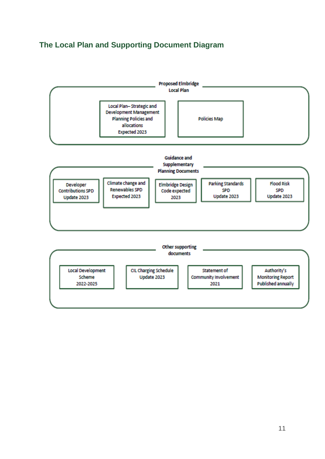# <span id="page-10-0"></span>**The Local Plan and Supporting Document Diagram**

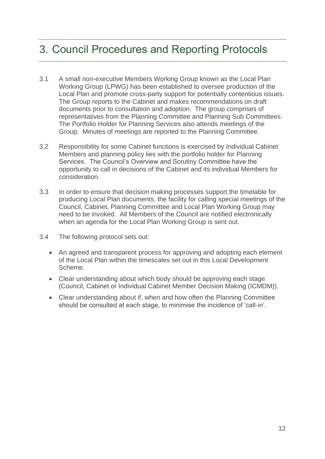# <span id="page-11-0"></span>3. Council Procedures and Reporting Protocols

- 3.1 A small non-executive Members Working Group known as the Local Plan Working Group (LPWG) has been established to oversee production of the Local Plan and promote cross-party support for potentially contentious issues. The Group reports to the Cabinet and makes recommendations on draft documents prior to consultation and adoption. The group comprises of representatives from the Planning Committee and Planning Sub Committees. The Portfolio Holder for Planning Services also attends meetings of the Group. Minutes of meetings are reported to the Planning Committee.
- 3.2 Responsibility for some Cabinet functions is exercised by Individual Cabinet Members and planning policy lies with the portfolio holder for Planning Services. The Council's Overview and Scrutiny Committee have the opportunity to call in decisions of the Cabinet and its individual Members for consideration.
- 3.3 In order to ensure that decision making processes support the timetable for producing Local Plan documents, the facility for calling special meetings of the Council, Cabinet, Planning Committee and Local Plan Working Group may need to be invoked. All Members of the Council are notified electronically when an agenda for the Local Plan Working Group is sent out.
- 3.4 The following protocol sets out:
	- An agreed and transparent process for approving and adopting each element of the Local Plan within the timescales set out in this Local Development Scheme.
	- Clear understanding about which body should be approving each stage (Council, Cabinet or Individual Cabinet Member Decision Making (ICMDM)).
	- Clear understanding about if, when and how often the Planning Committee should be consulted at each stage, to minimise the incidence of 'call-in'.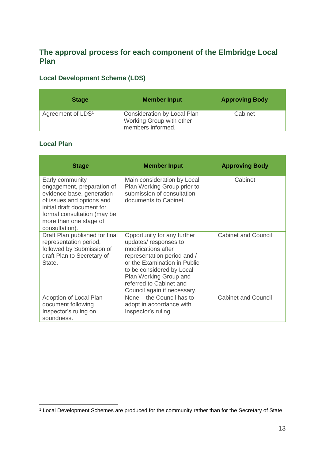# <span id="page-12-0"></span>**The approval process for each component of the Elmbridge Local Plan**

## **Local Development Scheme (LDS)**

| <b>Stage</b>                  | <b>Member Input</b>                                                          | <b>Approving Body</b> |
|-------------------------------|------------------------------------------------------------------------------|-----------------------|
| Agreement of LDS <sup>1</sup> | Consideration by Local Plan<br>Working Group with other<br>members informed. | Cabinet               |

### **Local Plan**

| <b>Stage</b>                                                                                                                                                                                                     | <b>Member Input</b>                                                                                                                                                                                                                                        | <b>Approving Body</b>      |
|------------------------------------------------------------------------------------------------------------------------------------------------------------------------------------------------------------------|------------------------------------------------------------------------------------------------------------------------------------------------------------------------------------------------------------------------------------------------------------|----------------------------|
| Early community<br>engagement, preparation of<br>evidence base, generation<br>of issues and options and<br>initial draft document for<br>formal consultation (may be<br>more than one stage of<br>consultation). | Main consideration by Local<br>Plan Working Group prior to<br>submission of consultation<br>documents to Cabinet.                                                                                                                                          | Cabinet                    |
| Draft Plan published for final<br>representation period,<br>followed by Submission of<br>draft Plan to Secretary of<br>State.                                                                                    | Opportunity for any further<br>updates/responses to<br>modifications after<br>representation period and /<br>or the Examination in Public<br>to be considered by Local<br>Plan Working Group and<br>referred to Cabinet and<br>Council again if necessary. | <b>Cabinet and Council</b> |
| Adoption of Local Plan<br>document following<br>Inspector's ruling on<br>soundness.                                                                                                                              | None – the Council has to<br>adopt in accordance with<br>Inspector's ruling.                                                                                                                                                                               | <b>Cabinet and Council</b> |

<sup>1</sup> Local Development Schemes are produced for the community rather than for the Secretary of State.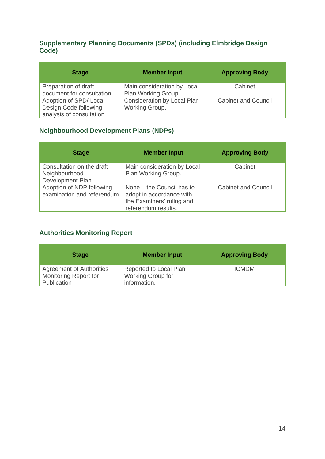### **Supplementary Planning Documents (SPDs) (including Elmbridge Design Code)**

| <b>Stage</b>                                                               | <b>Member Input</b>                                  | <b>Approving Body</b>      |
|----------------------------------------------------------------------------|------------------------------------------------------|----------------------------|
| Preparation of draft<br>document for consultation                          | Main consideration by Local<br>Plan Working Group.   | Cabinet                    |
| Adoption of SPD/Local<br>Design Code following<br>analysis of consultation | <b>Consideration by Local Plan</b><br>Working Group. | <b>Cabinet and Council</b> |

## **Neighbourhood Development Plans (NDPs)**

| <b>Stage</b>                                                   | <b>Member Input</b>                                                                                       | <b>Approving Body</b>      |
|----------------------------------------------------------------|-----------------------------------------------------------------------------------------------------------|----------------------------|
| Consultation on the draft<br>Neighbourhood<br>Development Plan | Main consideration by Local<br>Plan Working Group.                                                        | Cabinet                    |
| Adoption of NDP following<br>examination and referendum        | None – the Council has to<br>adopt in accordance with<br>the Examiners' ruling and<br>referendum results. | <b>Cabinet and Council</b> |

### **Authorities Monitoring Report**

| <b>Stage</b>                                                                   | <b>Member Input</b>                                         | <b>Approving Body</b> |
|--------------------------------------------------------------------------------|-------------------------------------------------------------|-----------------------|
| <b>Agreement of Authorities</b><br><b>Monitoring Report for</b><br>Publication | Reported to Local Plan<br>Working Group for<br>information. | <b>ICMDM</b>          |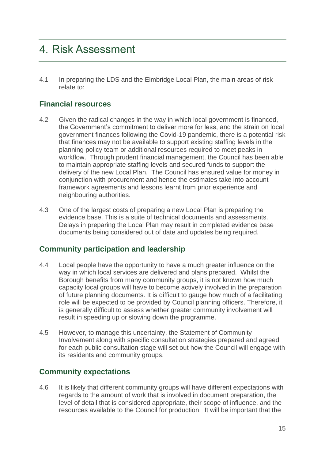# <span id="page-14-0"></span>4. Risk Assessment

4.1 In preparing the LDS and the Elmbridge Local Plan, the main areas of risk relate to:

### <span id="page-14-1"></span>**Financial resources**

- 4.2 Given the radical changes in the way in which local government is financed, the Government's commitment to deliver more for less, and the strain on local government finances following the Covid-19 pandemic, there is a potential risk that finances may not be available to support existing staffing levels in the planning policy team or additional resources required to meet peaks in workflow. Through prudent financial management, the Council has been able to maintain appropriate staffing levels and secured funds to support the delivery of the new Local Plan. The Council has ensured value for money in conjunction with procurement and hence the estimates take into account framework agreements and lessons learnt from prior experience and neighbouring authorities.
- 4.3 One of the largest costs of preparing a new Local Plan is preparing the evidence base. This is a suite of technical documents and assessments. Delays in preparing the Local Plan may result in completed evidence base documents being considered out of date and updates being required.

### <span id="page-14-2"></span>**Community participation and leadership**

- 4.4 Local people have the opportunity to have a much greater influence on the way in which local services are delivered and plans prepared. Whilst the Borough benefits from many community groups, it is not known how much capacity local groups will have to become actively involved in the preparation of future planning documents. It is difficult to gauge how much of a facilitating role will be expected to be provided by Council planning officers. Therefore, it is generally difficult to assess whether greater community involvement will result in speeding up or slowing down the programme.
- 4.5 However, to manage this uncertainty, the Statement of Community Involvement along with specific consultation strategies prepared and agreed for each public consultation stage will set out how the Council will engage with its residents and community groups.

### <span id="page-14-3"></span>**Community expectations**

4.6 It is likely that different community groups will have different expectations with regards to the amount of work that is involved in document preparation, the level of detail that is considered appropriate, their scope of influence, and the resources available to the Council for production. It will be important that the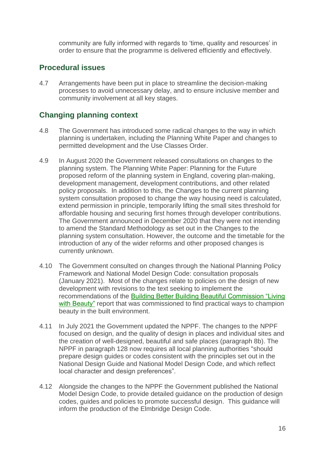community are fully informed with regards to 'time, quality and resources' in order to ensure that the programme is delivered efficiently and effectively.

# <span id="page-15-0"></span>**Procedural issues**

4.7 Arrangements have been put in place to streamline the decision-making processes to avoid unnecessary delay, and to ensure inclusive member and community involvement at all key stages.

# <span id="page-15-1"></span>**Changing planning context**

- 4.8 The Government has introduced some radical changes to the way in which planning is undertaken, including the Planning White Paper and changes to permitted development and the Use Classes Order.
- 4.9 In August 2020 the Government released consultations on changes to the planning system. The Planning White Paper: Planning for the Future proposed reform of the planning system in England, covering plan-making, development management, development contributions, and other related policy proposals. In addition to this, the Changes to the current planning system consultation proposed to change the way housing need is calculated, extend permission in principle, temporarily lifting the small sites threshold for affordable housing and securing first homes through developer contributions. The Government announced in December 2020 that they were not intending to amend the Standard Methodology as set out in the Changes to the planning system consultation. However, the outcome and the timetable for the introduction of any of the wider reforms and other proposed changes is currently unknown.
- 4.10 The Government consulted on changes through the National Planning Policy Framework and National Model Design Code: consultation proposals (January 2021). Most of the changes relate to policies on the design of new development with revisions to the text seeking to implement the recommendations of the [Building Better Building Beautiful Commission "Living](https://www.gov.uk/government/publications/living-with-beauty-report-of-the-building-better-building-beautiful-commission)  [with Beauty"](https://www.gov.uk/government/publications/living-with-beauty-report-of-the-building-better-building-beautiful-commission) report that was commissioned to find practical ways to champion beauty in the built environment.
- 4.11 In July 2021 the Government updated the NPPF. The changes to the NPPF focused on design, and the quality of design in places and individual sites and the creation of well-designed, beautiful and safe places (paragraph 8b). The NPPF in paragraph 128 now requires all local planning authorities "should prepare design guides or codes consistent with the principles set out in the National Design Guide and National Model Design Code, and which reflect local character and design preferences".
- 4.12 Alongside the changes to the NPPF the Government published the National Model Design Code, to provide detailed guidance on the production of design codes, guides and policies to promote successful design. This guidance will inform the production of the Elmbridge Design Code.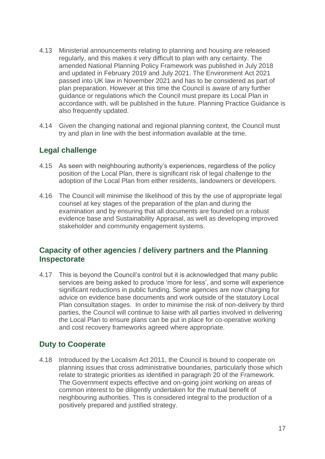- 4.13 Ministerial announcements relating to planning and housing are released regularly, and this makes it very difficult to plan with any certainty. The amended National Planning Policy Framework was published in July 2018 and updated in February 2019 and July 2021. The Environment Act 2021 passed into UK law in November 2021 and has to be considered as part of plan preparation. However at this time the Council is aware of any further guidance or regulations which the Council must prepare its Local Plan in accordance with, will be published in the future. Planning Practice Guidance is also frequently updated.
- 4.14 Given the changing national and regional planning context, the Council must try and plan in line with the best information available at the time.

# <span id="page-16-0"></span>**Legal challenge**

- 4.15 As seen with neighbouring authority's experiences, regardless of the policy position of the Local Plan, there is significant risk of legal challenge to the adoption of the Local Plan from either residents, landowners or developers.
- 4.16 The Council will minimise the likelihood of this by the use of appropriate legal counsel at key stages of the preparation of the plan and during the examination and by ensuring that all documents are founded on a robust evidence base and Sustainability Appraisal, as well as developing improved stakeholder and community engagement systems.

### <span id="page-16-1"></span>**Capacity of other agencies / delivery partners and the Planning Inspectorate**

4.17 This is beyond the Council's control but it is acknowledged that many public services are being asked to produce 'more for less', and some will experience significant reductions in public funding. Some agencies are now charging for advice on evidence base documents and work outside of the statutory Local Plan consultation stages. In order to minimise the risk of non-delivery by third parties, the Council will continue to liaise with all parties involved in delivering the Local Plan to ensure plans can be put in place for co-operative working and cost recovery frameworks agreed where appropriate.

## <span id="page-16-2"></span>**Duty to Cooperate**

4.18 Introduced by the Localism Act 2011, the Council is bound to cooperate on planning issues that cross administrative boundaries, particularly those which relate to strategic priorities as identified in paragraph 20 of the Framework. The Government expects effective and on-going joint working on areas of common interest to be diligently undertaken for the mutual benefit of neighbouring authorities. This is considered integral to the production of a positively prepared and justified strategy.